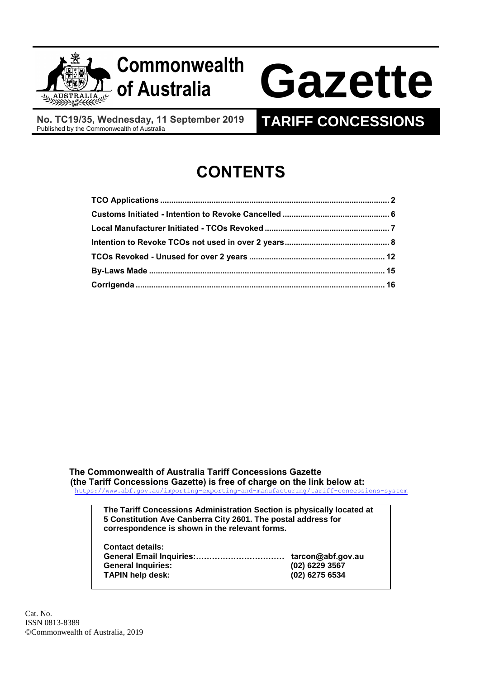



# **of Australia Gazette**

**No. TC19/35, Wednesday, 11 September 2019** Published by the Commonwealth of Australia **TARIFF CONCESSIONS**

## **CONTENTS**

**The Commonwealth of Australia Tariff Concessions Gazette (the Tariff Concessions Gazette) is free of charge on the link below at:**

<https://www.abf.gov.au/importing-exporting-and-manufacturing/tariff-concessions-system>

**The Tariff Concessions Administration Section is physically located at 5 Constitution Ave Canberra City 2601. The postal address for correspondence is shown in the relevant forms.**

| <b>Contact details:</b>   |                   |
|---------------------------|-------------------|
|                           | tarcon@abf.gov.au |
| <b>General Inquiries:</b> | $(02)$ 6229 3567  |
| <b>TAPIN help desk:</b>   | (02) 6275 6534    |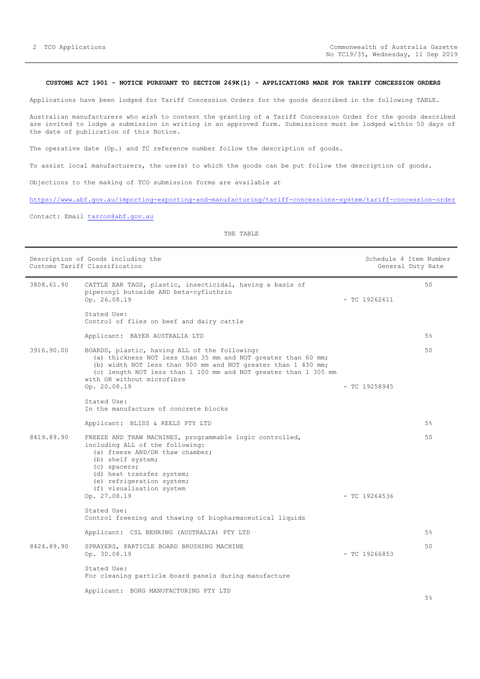#### <span id="page-1-0"></span>**CUSTOMS ACT 1901 - NOTICE PURSUANT TO SECTION 269K(1) - APPLICATIONS MADE FOR TARIFF CONCESSION ORDERS**

Applications have been lodged for Tariff Concession Orders for the goods described in the following TABLE.

Australian manufacturers who wish to contest the granting of a Tariff Concession Order for the goods described are invited to lodge a submission in writing in an approved form. Submissions must be lodged within 50 days of the date of publication of this Notice.

The operative date (Op.) and TC reference number follow the description of goods.

To assist local manufacturers, the use(s) to which the goods can be put follow the description of goods.

Objections to the making of TCO submission forms are available at

<https://www.abf.gov.au/importing-exporting-and-manufacturing/tariff-concessions-system/tariff-concession-order>

Contact: Email [tarcon@abf.gov.au](mailto:tarcon@abf.gov.au)

|            | Description of Goods including the<br>Customs Tariff Classification                                                                                                                                                                                                                              |                 | Schedule 4 Item Number<br>General Duty Rate |
|------------|--------------------------------------------------------------------------------------------------------------------------------------------------------------------------------------------------------------------------------------------------------------------------------------------------|-----------------|---------------------------------------------|
| 3808.61.90 | CATTLE EAR TAGS, plastic, insecticidal, having a basis of<br>piperonyl butoxide AND beta-cyfluthrin<br>Op. 26.08.19                                                                                                                                                                              | $-$ TC 19262611 | 50                                          |
|            | Stated Use:<br>Control of flies on beef and dairy cattle                                                                                                                                                                                                                                         |                 |                                             |
|            | Applicant: BAYER AUSTRALIA LTD                                                                                                                                                                                                                                                                   |                 | 5%                                          |
| 3916.90.00 | BOARDS, plastic, having ALL of the following:<br>(a) thickness NOT less than 35 mm and NOT greater than 60 mm;<br>(b) width NOT less than 900 mm and NOT greater than 1 430 mm;<br>(c) length NOT less than 1 100 mm and NOT greater than 1 305 mm<br>with OR without microfibre<br>Op. 20.08.19 | $-$ TC 19258945 | 50                                          |
|            | Stated Use:<br>In the manufacture of concrete blocks                                                                                                                                                                                                                                             |                 |                                             |
|            | Applicant: BLISS & REELS PTY LTD                                                                                                                                                                                                                                                                 |                 | 5%                                          |
| 8419.89.90 | FREEZE AND THAW MACHINES, programmable logic controlled,<br>including ALL of the following:<br>(a) freeze AND/OR thaw chamber;<br>(b) shelf system;<br>(c) spacers;<br>(d) heat transfer system;<br>(e) refrigeration system;<br>(f) visualisation system<br>Op. 27.08.19                        | $-$ TC 19264536 | 50                                          |
|            | Stated Use:                                                                                                                                                                                                                                                                                      |                 |                                             |
|            | Control freezing and thawing of biopharmaceutical liquids                                                                                                                                                                                                                                        |                 |                                             |
|            | Applicant: CSL BEHRING (AUSTRALIA) PTY LTD                                                                                                                                                                                                                                                       |                 | 5%                                          |
| 8424.89.90 | SPRAYERS, PARTICLE BOARD BRUSHING MACHINE<br>Op. 30.08.19                                                                                                                                                                                                                                        | $-$ TC 19266853 | 50                                          |
|            | Stated Use:<br>For cleaning particle board panels during manufacture                                                                                                                                                                                                                             |                 |                                             |
|            | Applicant: BORG MANUFACTURING PTY LTD                                                                                                                                                                                                                                                            |                 |                                             |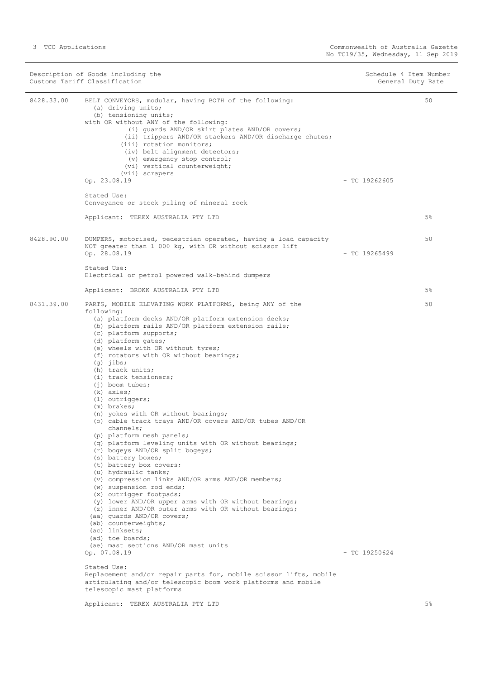|            | Description of Goods including the<br>Customs Tariff Classification                                                                                                                                                                                                                                                                                                                                                                                                                                                                                                                                                                                                                                                                                                                                                                                                                                                                                                                                                                                                                                                                                                       |                 | Schedule 4 Item Number<br>General Duty Rate |
|------------|---------------------------------------------------------------------------------------------------------------------------------------------------------------------------------------------------------------------------------------------------------------------------------------------------------------------------------------------------------------------------------------------------------------------------------------------------------------------------------------------------------------------------------------------------------------------------------------------------------------------------------------------------------------------------------------------------------------------------------------------------------------------------------------------------------------------------------------------------------------------------------------------------------------------------------------------------------------------------------------------------------------------------------------------------------------------------------------------------------------------------------------------------------------------------|-----------------|---------------------------------------------|
| 8428.33.00 | BELT CONVEYORS, modular, having BOTH of the following:<br>(a) driving units;<br>(b) tensioning units;<br>with OR without ANY of the following:<br>(i) quards AND/OR skirt plates AND/OR covers;<br>(ii) trippers AND/OR stackers AND/OR discharge chutes;<br>(iii) rotation monitors;<br>(iv) belt alignment detectors;<br>(v) emergency stop control;<br>(vi) vertical counterweight;<br>(vii) scrapers<br>Op. 23.08.19                                                                                                                                                                                                                                                                                                                                                                                                                                                                                                                                                                                                                                                                                                                                                  | $-$ TC 19262605 | 50                                          |
|            | Stated Use:<br>Conveyance or stock piling of mineral rock                                                                                                                                                                                                                                                                                                                                                                                                                                                                                                                                                                                                                                                                                                                                                                                                                                                                                                                                                                                                                                                                                                                 |                 |                                             |
|            | Applicant: TEREX AUSTRALIA PTY LTD                                                                                                                                                                                                                                                                                                                                                                                                                                                                                                                                                                                                                                                                                                                                                                                                                                                                                                                                                                                                                                                                                                                                        |                 | 5 <sup>°</sup>                              |
| 8428.90.00 | DUMPERS, motorised, pedestrian operated, having a load capacity<br>NOT greater than 1 000 kg, with OR without scissor lift<br>Op. 28.08.19<br>Stated Use:                                                                                                                                                                                                                                                                                                                                                                                                                                                                                                                                                                                                                                                                                                                                                                                                                                                                                                                                                                                                                 | $-$ TC 19265499 | 50                                          |
|            | Electrical or petrol powered walk-behind dumpers                                                                                                                                                                                                                                                                                                                                                                                                                                                                                                                                                                                                                                                                                                                                                                                                                                                                                                                                                                                                                                                                                                                          |                 |                                             |
|            | Applicant: BROKK AUSTRALIA PTY LTD                                                                                                                                                                                                                                                                                                                                                                                                                                                                                                                                                                                                                                                                                                                                                                                                                                                                                                                                                                                                                                                                                                                                        |                 | 5 <sup>°</sup>                              |
| 8431.39.00 | PARTS, MOBILE ELEVATING WORK PLATFORMS, being ANY of the<br>following:<br>(a) platform decks AND/OR platform extension decks;<br>(b) platform rails AND/OR platform extension rails;<br>(c) platform supports;<br>(d) platform gates;<br>(e) wheels with OR without tyres;<br>(f) rotators with OR without bearings;<br>$(g)$ jibs;<br>(h) track units;<br>(i) track tensioners;<br>$(i)$ boom tubes;<br>$(k)$ axles;<br>(1) outriggers;<br>(m) brakes;<br>(n) yokes with OR without bearings;<br>(o) cable track trays AND/OR covers AND/OR tubes AND/OR<br>channels;<br>(p) platform mesh panels;<br>(q) platform leveling units with OR without bearings;<br>(r) bogeys AND/OR split bogeys;<br>(s) battery boxes;<br>(t) battery box covers;<br>(u) hydraulic tanks;<br>(v) compression links AND/OR arms AND/OR members;<br>(w) suspension rod ends;<br>(x) outrigger footpads;<br>(y) lower AND/OR upper arms with OR without bearings;<br>(z) inner AND/OR outer arms with OR without bearings;<br>(aa) quards AND/OR covers;<br>(ab) counterweights;<br>(ac) linksets;<br>(ad) toe boards;<br>(ae) mast sections AND/OR mast units<br>Op. 07.08.19<br>Stated Use: | $-$ TC 19250624 | 50                                          |
|            | Replacement and/or repair parts for, mobile scissor lifts, mobile<br>articulating and/or telescopic boom work platforms and mobile<br>telescopic mast platforms                                                                                                                                                                                                                                                                                                                                                                                                                                                                                                                                                                                                                                                                                                                                                                                                                                                                                                                                                                                                           |                 |                                             |
|            | Applicant: TEREX AUSTRALIA PTY LTD                                                                                                                                                                                                                                                                                                                                                                                                                                                                                                                                                                                                                                                                                                                                                                                                                                                                                                                                                                                                                                                                                                                                        |                 | 5%                                          |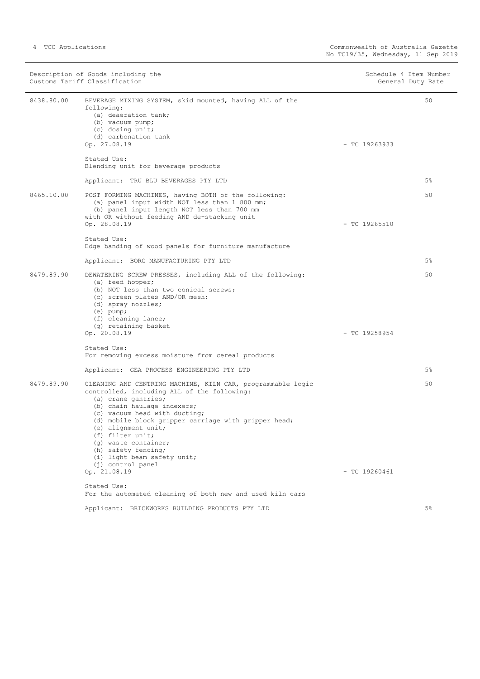|            | Description of Goods including the<br>Customs Tariff Classification                                                                                                                                                                                                                                                                                                                                     | Schedule 4 Item Number<br>General Duty Rate |       |
|------------|---------------------------------------------------------------------------------------------------------------------------------------------------------------------------------------------------------------------------------------------------------------------------------------------------------------------------------------------------------------------------------------------------------|---------------------------------------------|-------|
| 8438.80.00 | BEVERAGE MIXING SYSTEM, skid mounted, having ALL of the<br>following:<br>(a) deaeration tank;<br>(b) vacuum pump;<br>(c) dosing unit;<br>(d) carbonation tank<br>Op. 27.08.19                                                                                                                                                                                                                           | $-$ TC 19263933                             | 50    |
|            | Stated Use:<br>Blending unit for beverage products                                                                                                                                                                                                                                                                                                                                                      |                                             |       |
|            | Applicant: TRU BLU BEVERAGES PTY LTD                                                                                                                                                                                                                                                                                                                                                                    |                                             | $5\%$ |
| 8465.10.00 | POST FORMING MACHINES, having BOTH of the following:<br>(a) panel input width NOT less than 1 800 mm;<br>(b) panel input length NOT less than 700 mm<br>with OR without feeding AND de-stacking unit                                                                                                                                                                                                    |                                             | 50    |
|            | Op. 28.08.19<br>Stated Use:<br>Edge banding of wood panels for furniture manufacture                                                                                                                                                                                                                                                                                                                    | $-$ TC 19265510                             |       |
|            | Applicant: BORG MANUFACTURING PTY LTD                                                                                                                                                                                                                                                                                                                                                                   |                                             | $5\%$ |
| 8479.89.90 | DEWATERING SCREW PRESSES, including ALL of the following:<br>(a) feed hopper;<br>(b) NOT less than two conical screws;<br>(c) screen plates AND/OR mesh;<br>(d) spray nozzles;<br>$(e)$ pump;<br>(f) cleaning lance;<br>(g) retaining basket<br>Op. 20.08.19                                                                                                                                            | $-$ TC 19258954                             | 50    |
|            | Stated Use:<br>For removing excess moisture from cereal products                                                                                                                                                                                                                                                                                                                                        |                                             |       |
|            | Applicant: GEA PROCESS ENGINEERING PTY LTD                                                                                                                                                                                                                                                                                                                                                              |                                             | $5\%$ |
| 8479.89.90 | CLEANING AND CENTRING MACHINE, KILN CAR, programmable logic<br>controlled, including ALL of the following:<br>(a) crane gantries;<br>(b) chain haulage indexers;<br>(c) vacuum head with ducting;<br>(d) mobile block gripper carriage with gripper head;<br>(e) alignment unit;<br>(f) filter unit;<br>(q) waste container;<br>(h) safety fencing;<br>(i) light beam safety unit;<br>(j) control panel |                                             | 50    |
|            | Op. 21.08.19                                                                                                                                                                                                                                                                                                                                                                                            | $-$ TC 19260461                             |       |
|            | Stated Use:<br>For the automated cleaning of both new and used kiln cars                                                                                                                                                                                                                                                                                                                                |                                             |       |
|            | Applicant: BRICKWORKS BUILDING PRODUCTS PTY LTD                                                                                                                                                                                                                                                                                                                                                         |                                             | $5\%$ |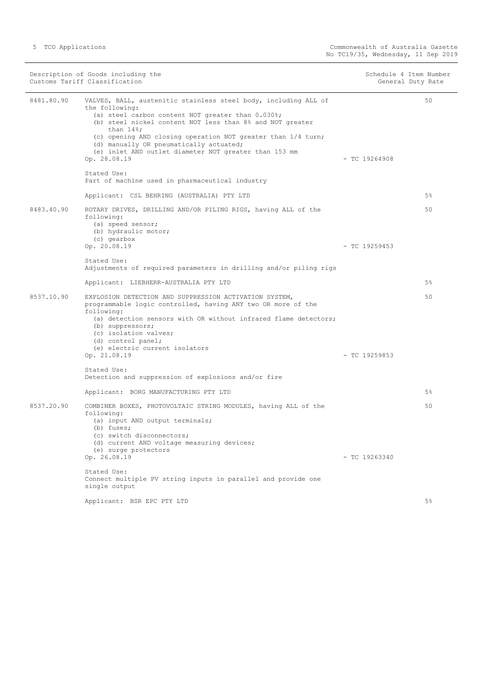|            | Description of Goods including the<br>Customs Tariff Classification                                                                                                                                                                                                                                                                                                                                     | Schedule 4 Item Number | General Duty Rate |
|------------|---------------------------------------------------------------------------------------------------------------------------------------------------------------------------------------------------------------------------------------------------------------------------------------------------------------------------------------------------------------------------------------------------------|------------------------|-------------------|
| 8481.80.90 | VALVES, BALL, austenitic stainless steel body, including ALL of<br>the following:<br>(a) steel carbon content NOT greater than 0.030%;<br>(b) steel nickel content NOT less than 8% and NOT greater<br>than $14\$ ;<br>(c) opening AND closing operation NOT greater than 1/4 turn;<br>(d) manually OR pneumatically actuated;<br>(e) inlet AND outlet diameter NOT greater than 153 mm<br>Op. 28.08.19 | $-$ TC 19264908        | 50                |
|            | Stated Use:<br>Part of machine used in pharmaceutical industry                                                                                                                                                                                                                                                                                                                                          |                        |                   |
|            | Applicant: CSL BEHRING (AUSTRALIA) PTY LTD                                                                                                                                                                                                                                                                                                                                                              |                        | $5\%$             |
| 8483.40.90 | ROTARY DRIVES, DRILLING AND/OR PILING RIGS, having ALL of the<br>following:<br>(a) speed sensor;<br>(b) hydraulic motor;<br>(c) gearbox                                                                                                                                                                                                                                                                 |                        | 50                |
|            | Op. 20.08.19                                                                                                                                                                                                                                                                                                                                                                                            | $-$ TC 19259453        |                   |
|            | Stated Use:<br>Adjustments of required parameters in drilling and/or piling rigs                                                                                                                                                                                                                                                                                                                        |                        |                   |
|            | Applicant: LIEBHERR-AUSTRALIA PTY LTD                                                                                                                                                                                                                                                                                                                                                                   |                        | 5%                |
| 8537.10.90 | EXPLOSION DETECTION AND SUPPRESSION ACTIVATION SYSTEM,<br>programmable logic controlled, having ANY two OR more of the<br>following:<br>(a) detection sensors with OR without infrared flame detectors;<br>(b) suppressors;<br>(c) isolation valves;<br>(d) control panel;<br>(e) electric current isolators                                                                                            |                        | 50                |
|            | Op. 21.08.19                                                                                                                                                                                                                                                                                                                                                                                            | $-$ TC 19259853        |                   |
|            | Stated Use:<br>Detection and suppression of explosions and/or fire                                                                                                                                                                                                                                                                                                                                      |                        |                   |
|            | Applicant: BORG MANUFACTURING PTY LTD                                                                                                                                                                                                                                                                                                                                                                   |                        | 5%                |
| 8537.20.90 | COMBINER BOXES, PHOTOVOLTAIC STRING MODULES, having ALL of the<br>following:<br>(a) input AND output terminals;<br>(b) fuses;<br>(c) switch disconnectors;<br>(d) current AND voltage measuring devices;                                                                                                                                                                                                |                        | 50                |
|            | (e) surge protectors<br>Op. 26.08.19                                                                                                                                                                                                                                                                                                                                                                    | $-$ TC 19263340        |                   |
|            | Stated Use:<br>Connect multiple PV string inputs in parallel and provide one<br>single output                                                                                                                                                                                                                                                                                                           |                        |                   |
|            | Applicant: BSR EPC PTY LTD                                                                                                                                                                                                                                                                                                                                                                              |                        | $5\%$             |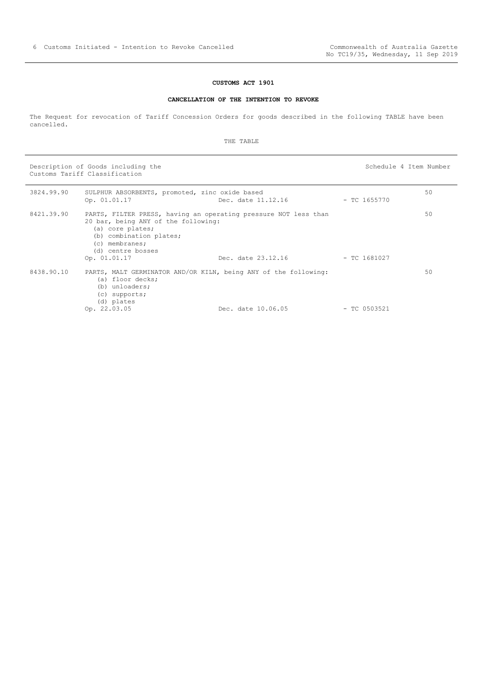#### **CUSTOMS ACT 1901**

#### **CANCELLATION OF THE INTENTION TO REVOKE**

<span id="page-5-0"></span>The Request for revocation of Tariff Concession Orders for goods described in the following TABLE have been cancelled.

THE TABLE

Description of Goods including the Schedule 4 Item Number (Schedule 4 Item Number Customs Tariff Classification

| 3824.99.90 | SULPHUR ABSORBENTS, promoted, zinc oxide based<br>Op. 01.01.17                                                                              | Dec. date 11.12.16                                                                    | $-$ TC 1655770 | 50 |
|------------|---------------------------------------------------------------------------------------------------------------------------------------------|---------------------------------------------------------------------------------------|----------------|----|
| 8421.39.90 | 20 bar, being ANY of the following:<br>(a) core plates;<br>(b) combination plates;<br>$(c)$ membranes;<br>(d) centre bosses<br>Op. 01.01.17 | PARTS, FILTER PRESS, having an operating pressure NOT less than<br>Dec. date 23.12.16 | $-$ TC 1681027 | 50 |
| 8438.90.10 | (a) floor decks;<br>(b) unloaders;<br>$(c)$ supports;<br>(d) plates<br>Op. 22.03.05                                                         | PARTS, MALT GERMINATOR AND/OR KILN, being ANY of the following:<br>Dec. date 10.06.05 | $-$ TC 0503521 | 50 |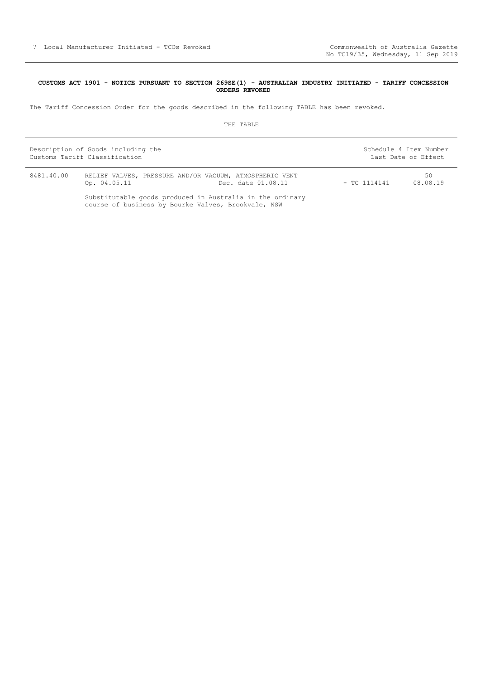#### <span id="page-6-0"></span>**CUSTOMS ACT 1901 - NOTICE PURSUANT TO SECTION 269SE(1) - AUSTRALIAN INDUSTRY INITIATED - TARIFF CONCESSION ORDERS REVOKED**

The Tariff Concession Order for the goods described in the following TABLE has been revoked.

|            | Description of Goods including the<br>Customs Tariff Classification                                              |                    |                | Schedule 4 Item Number<br>Last Date of Effect |
|------------|------------------------------------------------------------------------------------------------------------------|--------------------|----------------|-----------------------------------------------|
| 8481.40.00 | RELIEF VALVES, PRESSURE AND/OR VACUUM, ATMOSPHERIC VENT<br>Op. 04.05.11                                          | Dec. date 01.08.11 | $-$ TC 1114141 | 50<br>08.08.19                                |
|            | Substitutable goods produced in Australia in the ordinary<br>course of business by Bourke Valves, Brookvale, NSW |                    |                |                                               |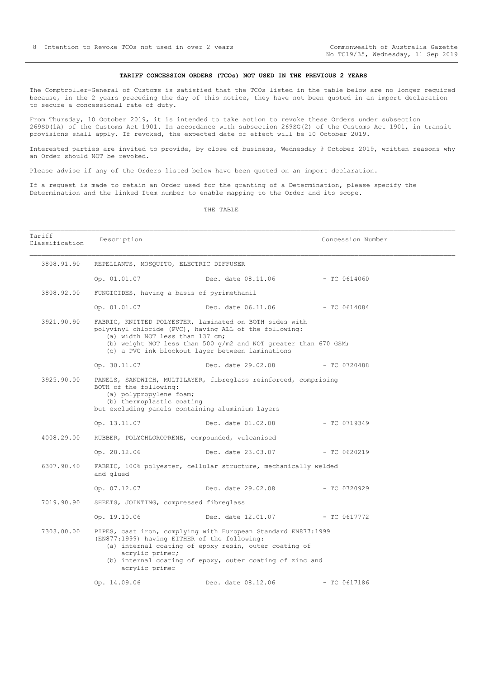#### **TARIFF CONCESSION ORDERS (TCOs) NOT USED IN THE PREVIOUS 2 YEARS**

<span id="page-7-0"></span>The Comptroller-General of Customs is satisfied that the TCOs listed in the table below are no longer required because, in the 2 years preceding the day of this notice, they have not been quoted in an import declaration to secure a concessional rate of duty.

From Thursday, 10 October 2019, it is intended to take action to revoke these Orders under subsection 269SD(1A) of the Customs Act 1901. In accordance with subsection 269SG(2) of the Customs Act 1901, in transit provisions shall apply. If revoked, the expected date of effect will be 10 October 2019.

Interested parties are invited to provide, by close of business, Wednesday 9 October 2019, written reasons why an Order should NOT be revoked.

Please advise if any of the Orders listed below have been quoted on an import declaration.

If a request is made to retain an Order used for the granting of a Determination, please specify the Determination and the linked Item number to enable mapping to the Order and its scope.

| Tariff<br>Classification | Description                                                                                                                        |                                                                                                                                                                                                                                          | Concession Number |
|--------------------------|------------------------------------------------------------------------------------------------------------------------------------|------------------------------------------------------------------------------------------------------------------------------------------------------------------------------------------------------------------------------------------|-------------------|
| 3808.91.90               | REPELLANTS, MOSQUITO, ELECTRIC DIFFUSER                                                                                            |                                                                                                                                                                                                                                          |                   |
|                          | Op. 01.01.07                                                                                                                       | Dec. date $08.11.06$ - TC 0614060                                                                                                                                                                                                        |                   |
| 3808.92.00               | FUNGICIDES, having a basis of pyrimethanil                                                                                         |                                                                                                                                                                                                                                          |                   |
|                          | Op. 01.01.07                                                                                                                       | Dec. date 06.11.06 - TC 0614084                                                                                                                                                                                                          |                   |
| 3921,90,90               | (a) width NOT less than 137 cm;                                                                                                    | FABRIC, KNITTED POLYESTER, laminated on BOTH sides with<br>polyvinyl chloride (PVC), having ALL of the following:<br>(b) weight NOT less than 500 g/m2 and NOT greater than 670 GSM;<br>(c) a PVC ink blockout layer between laminations |                   |
|                          | Op. 30.11.07                                                                                                                       | Dec. date 29.02.08 - TC 0720488                                                                                                                                                                                                          |                   |
| 3925.90.00               | BOTH of the following:<br>(a) polypropylene foam;<br>(b) thermoplastic coating<br>but excluding panels containing aluminium layers | PANELS, SANDWICH, MULTILAYER, fibreglass reinforced, comprising                                                                                                                                                                          |                   |
|                          | Op. 13.11.07                                                                                                                       | Dec. date 01.02.08                                                                                                                                                                                                                       | - TC 0719349      |
| 4008.29.00               | RUBBER, POLYCHLOROPRENE, compounded, vulcanised                                                                                    |                                                                                                                                                                                                                                          |                   |
|                          |                                                                                                                                    | Op. 28.12.06 Dec. date 23.03.07 - TC 0620219                                                                                                                                                                                             |                   |
| 6307.90.40               | and glued                                                                                                                          | FABRIC, 100% polyester, cellular structure, mechanically welded                                                                                                                                                                          |                   |
|                          |                                                                                                                                    | Op. 07.12.07 Dec. date 29.02.08 - TC 0720929                                                                                                                                                                                             |                   |
| 7019.90.90               | SHEETS, JOINTING, compressed fibreglass                                                                                            |                                                                                                                                                                                                                                          |                   |
|                          |                                                                                                                                    | Op. 19.10.06 Dec. date 12.01.07 - TC 0617772                                                                                                                                                                                             |                   |
| 7303.00.00               | (EN877:1999) having EITHER of the following:<br>acrylic primer;<br>acrylic primer                                                  | PIPES, cast iron, complying with European Standard EN877:1999<br>(a) internal coating of epoxy resin, outer coating of<br>(b) internal coating of epoxy, outer coating of zinc and                                                       |                   |
|                          | Op. 14.09.06                                                                                                                       | Dec. date 08.12.06 - TC 0617186                                                                                                                                                                                                          |                   |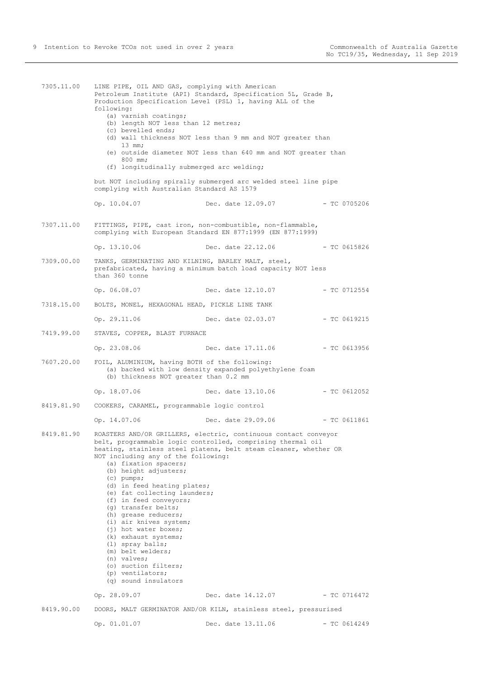7305.11.00 LINE PIPE, OIL AND GAS, complying with American Petroleum Institute (API) Standard, Specification 5L, Grade B, Production Specification Level (PSL) 1, having ALL of the following: (a) varnish coatings; (b) length NOT less than 12 metres; (c) bevelled ends; (d) wall thickness NOT less than 9 mm and NOT greater than 13 mm; (e) outside diameter NOT less than 640 mm and NOT greater than 800 mm; (f) longitudinally submerged arc welding; but NOT including spirally submerged arc welded steel line pipe complying with Australian Standard AS 1579 Op. 10.04.07 Dec. date 12.09.07 - TC 0705206 7307.11.00 FITTINGS, PIPE, cast iron, non-combustible, non-flammable, complying with European Standard EN 877:1999 (EN 877:1999) Op. 13.10.06 Dec. date 22.12.06 - TC 0615826 7309.00.00 TANKS, GERMINATING AND KILNING, BARLEY MALT, steel, prefabricated, having a minimum batch load capacity NOT less than 360 tonne Op. 06.08.07 Dec. date 12.10.07 - TC 0712554 7318.15.00 BOLTS, MONEL, HEXAGONAL HEAD, PICKLE LINE TANK Op. 29.11.06 Dec. date 02.03.07 - TC 0619215 7419.99.00 STAVES, COPPER, BLAST FURNACE Op. 23.08.06 Dec. date 17.11.06 - TC 0613956 7607.20.00 FOIL, ALUMINIUM, having BOTH of the following: (a) backed with low density expanded polyethylene foam (b) thickness NOT greater than 0.2 mm Op. 18.07.06 Dec. date 13.10.06 - TC 0612052 8419.81.90 COOKERS, CARAMEL, programmable logic control Op. 14.07.06 Dec. date 29.09.06 - TC 0611861 8419.81.90 ROASTERS AND/OR GRILLERS, electric, continuous contact conveyor belt, programmable logic controlled, comprising thermal oil heating, stainless steel platens, belt steam cleaner, whether OR NOT including any of the following: (a) fixation spacers; (b) height adjusters; (c) pumps; (d) in feed heating plates; (e) fat collecting launders; (f) in feed conveyors; (g) transfer belts; (h) grease reducers; (i) air knives system; (j) hot water boxes; (k) exhaust systems; (l) spray balls; (m) belt welders; (n) valves; (o) suction filters; (p) ventilators; (q) sound insulators Op. 28.09.07 Dec. date 14.12.07 - TC 0716472 8419.90.00 DOORS, MALT GERMINATOR AND/OR KILN, stainless steel, pressurised Op. 01.01.07 Dec. date 13.11.06 - TC 0614249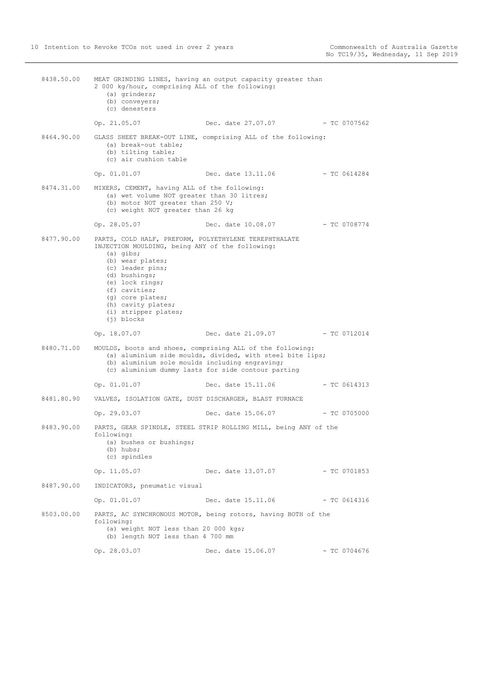8438.50.00 MEAT GRINDING LINES, having an output capacity greater than 2 000 kg/hour, comprising ALL of the following: (a) grinders; (b) conveyers; (c) denesters Op. 21.05.07 Dec. date 27.07.07 - TC 0707562 8464.90.00 GLASS SHEET BREAK-OUT LINE, comprising ALL of the following: (a) break-out table; (b) tilting table; (c) air cushion table Op. 01.01.07 Dec. date 13.11.06 - TC 0614284 8474.31.00 MIXERS, CEMENT, having ALL of the following: (a) wet volume NOT greater than 30 litres; (b) motor NOT greater than 250 V; (c) weight NOT greater than 26 kg Op. 28.05.07 Dec. date 10.08.07 - TC 0708774 8477.90.00 PARTS, COLD HALF, PREFORM, POLYETHYLENE TEREPHTHALATE INJECTION MOULDING, being ANY of the following: (a) gibs; (b) wear plates; (c) leader pins; (d) bushings; (e) lock rings; (f) cavities; (g) core plates; (h) cavity plates; (i) stripper plates; (j) blocks Op. 18.07.07 Dec. date 21.09.07 - TC 0712014 8480.71.00 MOULDS, boots and shoes, comprising ALL of the following: (a) aluminium side moulds, divided, with steel bite lips; (b) aluminium sole moulds including engraving; (c) aluminium dummy lasts for side contour parting Op. 01.01.07 Dec. date 15.11.06 - TC 0614313 8481.80.90 VALVES, ISOLATION GATE, DUST DISCHARGER, BLAST FURNACE Op. 29.03.07 Dec. date 15.06.07 - TC 0705000 8483.90.00 PARTS, GEAR SPINDLE, STEEL STRIP ROLLING MILL, being ANY of the following: (a) bushes or bushings; (b) hubs; (c) spindles Op. 11.05.07 Dec. date 13.07.07 - TC 0701853 8487.90.00 INDICATORS, pneumatic visual Op. 01.01.07 Dec. date 15.11.06 - TC 0614316 8503.00.00 PARTS, AC SYNCHRONOUS MOTOR, being rotors, having BOTH of the following: (a) weight NOT less than 20 000 kgs; (b) length NOT less than 4 700 mm Op. 28.03.07 Dec. date 15.06.07 - TC 0704676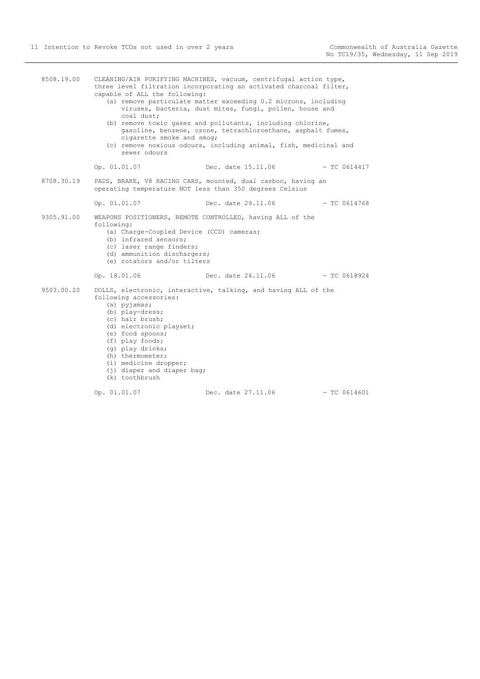| 8508.19.00 | capable of ALL the following:<br>coal dust;<br>cigarette smoke and smog;<br>sewer odours                                                                                                                                                                          | CLEANING/AIR PURIFYING MACHINES, vacuum, centrifugal action type,<br>three level filtration incorporating an activated charcoal filter,<br>(a) remove particulate matter exceeding 0.2 microns, including<br>viruses, bacteria, dust mites, fungi, pollen, house and<br>(b) remove toxic gases and pollutants, including chlorine,<br>gasoline, benzene, ozone, tetrachloroethane, asphalt fumes,<br>(c) remove noxious odours, including animal, fish, medicinal and |                |
|------------|-------------------------------------------------------------------------------------------------------------------------------------------------------------------------------------------------------------------------------------------------------------------|-----------------------------------------------------------------------------------------------------------------------------------------------------------------------------------------------------------------------------------------------------------------------------------------------------------------------------------------------------------------------------------------------------------------------------------------------------------------------|----------------|
|            | Op. 01.01.07                                                                                                                                                                                                                                                      | Dec. date 15.11.06                                                                                                                                                                                                                                                                                                                                                                                                                                                    | $-$ TC 0614417 |
| 8708.30.19 |                                                                                                                                                                                                                                                                   | PADS, BRAKE, V8 RACING CARS, mounted, dual carbon, having an<br>operating temperature NOT less than 350 degrees Celsius                                                                                                                                                                                                                                                                                                                                               |                |
|            | Op. 01.01.07                                                                                                                                                                                                                                                      | Dec. date 29.11.06                                                                                                                                                                                                                                                                                                                                                                                                                                                    | $-$ TC 0614768 |
| 9305.91.00 | following:<br>(a) Charge-Coupled Device (CCD) cameras;<br>(b) infrared sensors;<br>(c) laser range finders;<br>(d) ammunition dischargers;<br>(e) rotators and/or tilters                                                                                         | WEAPONS POSITIONERS, REMOTE CONTROLLED, having ALL of the                                                                                                                                                                                                                                                                                                                                                                                                             |                |
|            | Op. 18.01.06                                                                                                                                                                                                                                                      | Dec. date 24.11.06                                                                                                                                                                                                                                                                                                                                                                                                                                                    | $-$ TC 0618924 |
| 9503.00.20 | following accessories:<br>$(a)$ pyjamas;<br>(b) play-dress;<br>(c) hair brush;<br>(d) electronic playset;<br>(e) food spoons;<br>(f) play foods;<br>(q) play drinks;<br>(h) thermometer;<br>(i) medicine dropper;<br>(j) diaper and diaper bag;<br>(k) toothbrush | DOLLS, electronic, interactive, talking, and having ALL of the                                                                                                                                                                                                                                                                                                                                                                                                        |                |
|            | Op. 01.01.07                                                                                                                                                                                                                                                      | Dec. date 27.11.06                                                                                                                                                                                                                                                                                                                                                                                                                                                    | $-$ TC 0614601 |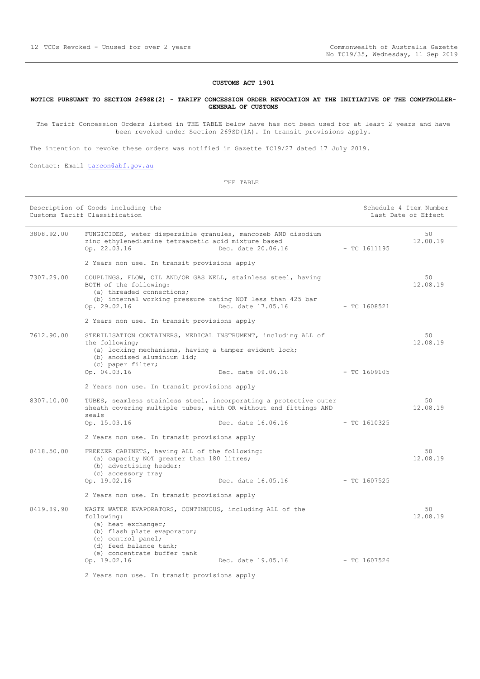### **CUSTOMS ACT 1901**

#### <span id="page-11-0"></span>**NOTICE PURSUANT TO SECTION 269SE(2) - TARIFF CONCESSION ORDER REVOCATION AT THE INITIATIVE OF THE COMPTROLLER-GENERAL OF CUSTOMS**

The Tariff Concession Orders listed in THE TABLE below have has not been used for at least 2 years and have been revoked under Section 269SD(1A). In transit provisions apply.

The intention to revoke these orders was notified in Gazette TC19/27 dated 17 July 2019.

Contact: Email [tarcon@abf.gov.au](mailto:tarcon@abf.gov.au)

|            | Description of Goods including the<br>Customs Tariff Classification                                                                                                                                           |                    | Schedule 4 Item Number<br>Last Date of Effect |                |
|------------|---------------------------------------------------------------------------------------------------------------------------------------------------------------------------------------------------------------|--------------------|-----------------------------------------------|----------------|
| 3808.92.00 | FUNGICIDES, water dispersible granules, mancozeb AND disodium<br>zinc ethylenediamine tetraacetic acid mixture based<br>Op. 22.03.16                                                                          | Dec. date 20.06.16 | $-$ TC 1611195                                | 50<br>12.08.19 |
|            | 2 Years non use. In transit provisions apply                                                                                                                                                                  |                    |                                               |                |
| 7307.29.00 | COUPLINGS, FLOW, OIL AND/OR GAS WELL, stainless steel, having<br>BOTH of the following:<br>(a) threaded connections;<br>(b) internal working pressure rating NOT less than 425 bar<br>Op. 29.02.16            | Dec. date 17.05.16 | $-$ TC 1608521                                | 50<br>12.08.19 |
|            | 2 Years non use. In transit provisions apply                                                                                                                                                                  |                    |                                               |                |
| 7612.90.00 | STERILISATION CONTAINERS, MEDICAL INSTRUMENT, including ALL of<br>the following;<br>(a) locking mechanisms, having a tamper evident lock;<br>(b) anodised aluminium lid;<br>(c) paper filter;<br>Op. 04.03.16 | Dec. date 09.06.16 | - TC 1609105                                  | 50<br>12.08.19 |
|            | 2 Years non use. In transit provisions apply                                                                                                                                                                  |                    |                                               |                |
| 8307.10.00 | TUBES, seamless stainless steel, incorporating a protective outer<br>sheath covering multiple tubes, with OR without end fittings AND<br>seals<br>Op. 15.03.16                                                | Dec. date 16.06.16 | $-$ TC 1610325                                | 50<br>12.08.19 |
|            | 2 Years non use. In transit provisions apply                                                                                                                                                                  |                    |                                               |                |
| 8418.50.00 | FREEZER CABINETS, having ALL of the following:<br>(a) capacity NOT greater than 180 litres;<br>(b) advertising header;<br>(c) accessory tray<br>Op. 19.02.16                                                  | Dec. date 16.05.16 | $-$ TC 1607525                                | 50<br>12.08.19 |
|            | 2 Years non use. In transit provisions apply                                                                                                                                                                  |                    |                                               |                |
| 8419.89.90 | WASTE WATER EVAPORATORS, CONTINUOUS, including ALL of the<br>following:<br>(a) heat exchanger;<br>(b) flash plate evaporator;<br>(c) control panel;<br>(d) feed balance tank;<br>(e) concentrate buffer tank  |                    |                                               | 50<br>12.08.19 |
|            | Op. 19.02.16                                                                                                                                                                                                  | Dec. date 19.05.16 | $-$ TC 1607526                                |                |
|            | 2 Years non use. In transit provisions apply                                                                                                                                                                  |                    |                                               |                |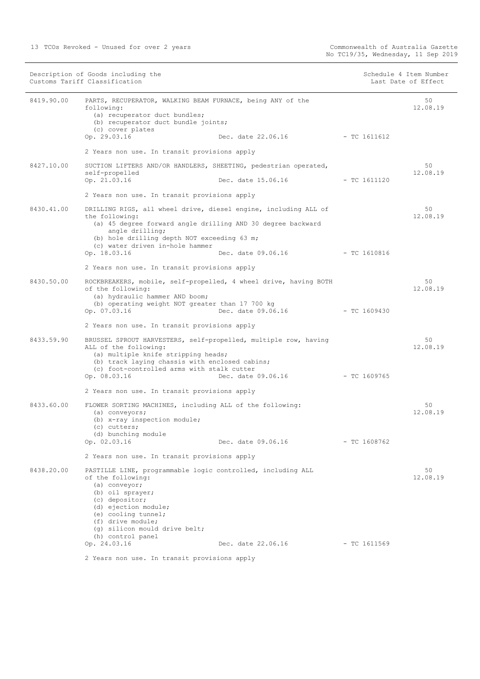|            | Description of Goods including the<br>Customs Tariff Classification                                                                                                                                                                                                   |                | Schedule 4 Item Number<br>Last Date of Effect |
|------------|-----------------------------------------------------------------------------------------------------------------------------------------------------------------------------------------------------------------------------------------------------------------------|----------------|-----------------------------------------------|
| 8419.90.00 | PARTS, RECUPERATOR, WALKING BEAM FURNACE, being ANY of the<br>following:<br>(a) recuperator duct bundles;<br>(b) recuperator duct bundle joints;                                                                                                                      |                | 50<br>12.08.19                                |
|            | (c) cover plates<br>Op. 29.03.16<br>Dec. date 22.06.16                                                                                                                                                                                                                | $-$ TC 1611612 |                                               |
|            |                                                                                                                                                                                                                                                                       |                |                                               |
|            | 2 Years non use. In transit provisions apply                                                                                                                                                                                                                          |                |                                               |
| 8427.10.00 | SUCTION LIFTERS AND/OR HANDLERS, SHEETING, pedestrian operated,<br>self-propelled                                                                                                                                                                                     |                | 50<br>12.08.19                                |
|            | Op. 21.03.16<br>Dec. date 15.06.16 - TC 1611120                                                                                                                                                                                                                       |                |                                               |
|            | 2 Years non use. In transit provisions apply                                                                                                                                                                                                                          |                |                                               |
| 8430.41.00 | DRILLING RIGS, all wheel drive, diesel engine, including ALL of<br>the following:                                                                                                                                                                                     |                | 50<br>12.08.19                                |
|            | (a) 45 degree forward angle drilling AND 30 degree backward<br>angle drilling;<br>(b) hole drilling depth NOT exceeding 63 m;                                                                                                                                         |                |                                               |
|            | (c) water driven in-hole hammer<br>Op. 18.03.16<br>Dec. date 09.06.16                                                                                                                                                                                                 | $-$ TC 1610816 |                                               |
|            | 2 Years non use. In transit provisions apply                                                                                                                                                                                                                          |                |                                               |
| 8430.50.00 | ROCKBREAKERS, mobile, self-propelled, 4 wheel drive, having BOTH<br>of the following:<br>(a) hydraulic hammer AND boom;                                                                                                                                               |                | 50<br>12.08.19                                |
|            | (b) operating weight NOT greater than 17 700 kg<br>Op. 07.03.16<br>Dec. date 09.06.16 - TC 1609430                                                                                                                                                                    |                |                                               |
|            | 2 Years non use. In transit provisions apply                                                                                                                                                                                                                          |                |                                               |
| 8433.59.90 | BRUSSEL SPROUT HARVESTERS, self-propelled, multiple row, having<br>ALL of the following:<br>(a) multiple knife stripping heads;<br>(b) track laying chassis with enclosed cabins;<br>(c) foot-controlled arms with stalk cutter<br>Op. 08.03.16<br>Dec. date 09.06.16 | - TC 1609765   | 50<br>12.08.19                                |
|            | 2 Years non use. In transit provisions apply                                                                                                                                                                                                                          |                |                                               |
|            |                                                                                                                                                                                                                                                                       |                |                                               |
| 8433.60.00 | FLOWER SORTING MACHINES, including ALL of the following:<br>(a) conveyors;<br>(b) x-ray inspection module;<br>(c) cutters;<br>(d) bunching module<br>Op. 02.03.16<br>Dec. date 09.06.16                                                                               | $-$ TC 1608762 | 50<br>12.08.19                                |
|            | 2 Years non use. In transit provisions apply                                                                                                                                                                                                                          |                |                                               |
| 8438.20.00 | PASTILLE LINE, programmable logic controlled, including ALL<br>of the following:<br>(a) conveyor;<br>(b) oil sprayer;<br>(c) depositor;<br>(d) ejection module;<br>(e) cooling tunnel;<br>(f) drive module;<br>(q) silicon mould drive belt;<br>(h) control panel     |                | 50<br>12.08.19                                |
|            | Op. 24.03.16<br>Dec. date 22.06.16                                                                                                                                                                                                                                    | $-$ TC 1611569 |                                               |
|            | 2 Years non use. In transit provisions apply                                                                                                                                                                                                                          |                |                                               |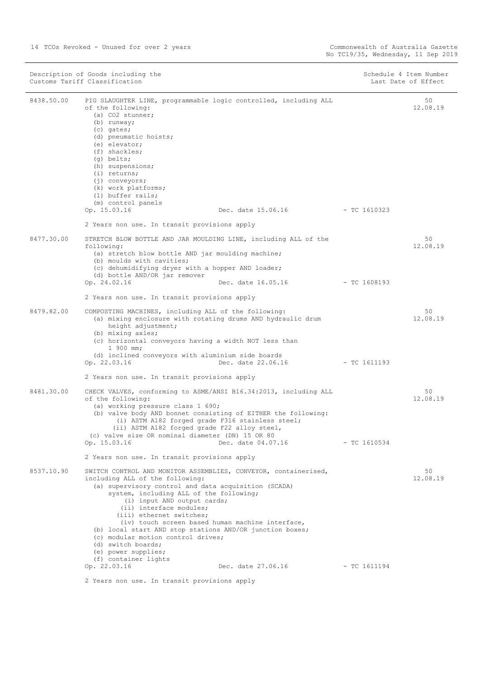| Description of Goods including the<br>Customs Tariff Classification |                                                                                                                                                                                                                                                                                                                                                                                                                                                                                                                        | Schedule 4 Item Number<br>Last Date of Effect |                |
|---------------------------------------------------------------------|------------------------------------------------------------------------------------------------------------------------------------------------------------------------------------------------------------------------------------------------------------------------------------------------------------------------------------------------------------------------------------------------------------------------------------------------------------------------------------------------------------------------|-----------------------------------------------|----------------|
| 8438.50.00                                                          | PIG SLAUGHTER LINE, programmable logic controlled, including ALL<br>of the following:<br>(a) CO2 stunner;<br>(b) runway;<br>(c) gates;<br>(d) pneumatic hoists;<br>(e) elevator;<br>$(f)$ shackles;<br>(q) belts;<br>(h) suspensions;<br>$(i)$ returns;<br>$(j)$ conveyors;<br>(k) work platforms;<br>(1) buffer rails;<br>(m) control panels<br>Op. 15.03.16<br>Dec. date 15.06.16<br>2 Years non use. In transit provisions apply                                                                                    | $-$ TC 1610323                                | 50<br>12.08.19 |
| 8477.30.00                                                          | STRETCH BLOW BOTTLE AND JAR MOULDING LINE, including ALL of the<br>following:<br>(a) stretch blow bottle AND jar moulding machine;<br>(b) moulds with cavities;<br>(c) dehumidifying dryer with a hopper AND loader;<br>(d) bottle AND/OR jar remover                                                                                                                                                                                                                                                                  |                                               | 50<br>12.08.19 |
|                                                                     | Dec. date 16.05.16<br>Op. 24.02.16<br>2 Years non use. In transit provisions apply                                                                                                                                                                                                                                                                                                                                                                                                                                     | $-$ TC 1608193                                |                |
| 8479.82.00                                                          | COMPOSTING MACHINES, including ALL of the following:<br>(a) mixing enclosure with rotating drums AND hydraulic drum<br>height adjustment;<br>(b) mixing axles;<br>(c) horizontal conveyors having a width NOT less than<br>1 900 mm;<br>(d) inclined conveyors with aluminium side boards                                                                                                                                                                                                                              |                                               | 50<br>12.08.19 |
|                                                                     | Op. 22.03.16<br>Dec. date 22.06.16<br>2 Years non use. In transit provisions apply                                                                                                                                                                                                                                                                                                                                                                                                                                     | - TC 1611193                                  |                |
| 8481.30.00                                                          | CHECK VALVES, conforming to ASME/ANSI B16.34:2013, including ALL<br>of the following:<br>(a) working pressure class 1 690;<br>(b) valve body AND bonnet consisting of EITHER the following:<br>(i) ASTM A182 forged grade F316 stainless steel;<br>(ii) ASTM A182 forged grade F22 alloy steel,<br>(c) valve size OR nominal diameter (DN) 15 OR 80<br>Op. 15.03.16<br>Dec. date 04.07.16                                                                                                                              | - TC 1610534                                  | 50<br>12.08.19 |
|                                                                     | 2 Years non use. In transit provisions apply                                                                                                                                                                                                                                                                                                                                                                                                                                                                           |                                               |                |
| 8537.10.90                                                          | SWITCH CONTROL AND MONITOR ASSEMBLIES, CONVEYOR, containerised,<br>including ALL of the following:<br>(a) supervisory control and data acquisition (SCADA)<br>system, including ALL of the following;<br>(i) input AND output cards;<br>(ii) interface modules;<br>(iii) ethernet switches;<br>(iv) touch screen based human machine interface,<br>(b) local start AND stop stations AND/OR junction boxes;<br>(c) modular motion control drives;<br>(d) switch boards;<br>(e) power supplies;<br>(f) container lights |                                               | 50<br>12.08.19 |
|                                                                     | Op. 22.03.16<br>Dec. date 27.06.16                                                                                                                                                                                                                                                                                                                                                                                                                                                                                     | $-$ TC 1611194                                |                |
|                                                                     | 2 Years non use. In transit provisions apply                                                                                                                                                                                                                                                                                                                                                                                                                                                                           |                                               |                |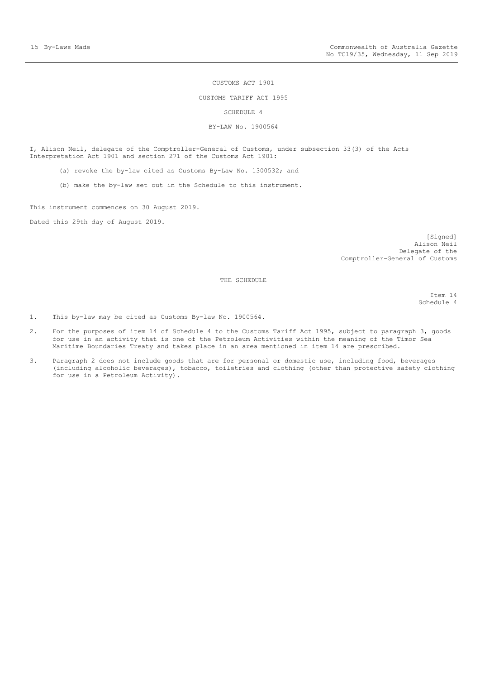#### CUSTOMS ACT 1901

#### CUSTOMS TARIFF ACT 1995

SCHEDULE 4

#### BY-LAW No. 1900564

<span id="page-14-0"></span>I, Alison Neil, delegate of the Comptroller-General of Customs, under subsection 33(3) of the Acts Interpretation Act 1901 and section 271 of the Customs Act 1901:

- (a) revoke the by-law cited as Customs By-Law No. 1300532; and
- (b) make the by-law set out in the Schedule to this instrument.

This instrument commences on 30 August 2019.

Dated this 29th day of August 2019.

[Signed] Alison Neil Delegate of the Comptroller-General of Customs

THE SCHEDULE

Item 14 Schedule 4

1. This by-law may be cited as Customs By-law No. 1900564.

- 2. For the purposes of item 14 of Schedule 4 to the Customs Tariff Act 1995, subject to paragraph 3, goods for use in an activity that is one of the Petroleum Activities within the meaning of the Timor Sea Maritime Boundaries Treaty and takes place in an area mentioned in item 14 are prescribed.
- 3. Paragraph 2 does not include goods that are for personal or domestic use, including food, beverages (including alcoholic beverages), tobacco, toiletries and clothing (other than protective safety clothing for use in a Petroleum Activity).